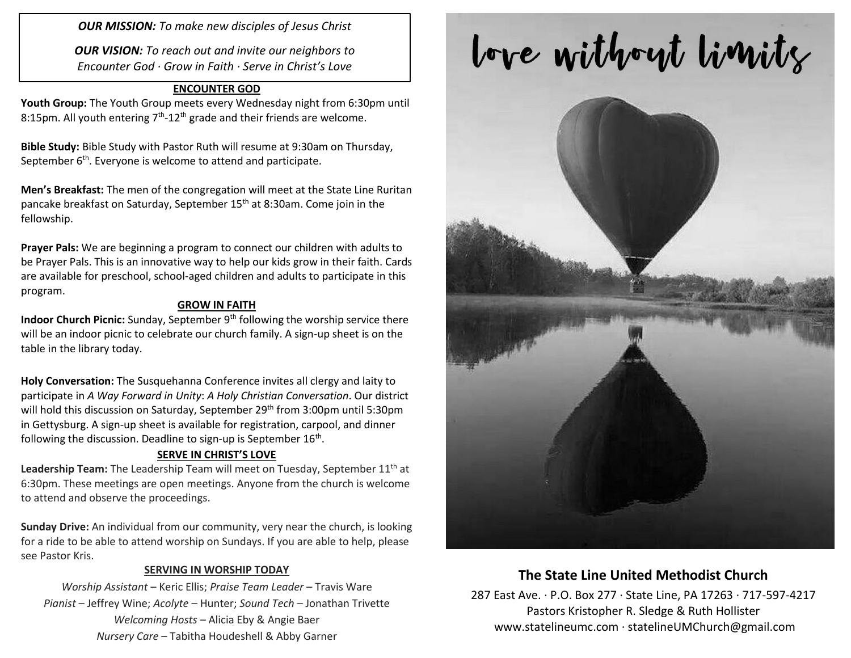*OUR MISSION: To make new disciples of Jesus Christ*

*OUR VISION: To reach out and invite our neighbors to Encounter God · Grow in Faith · Serve in Christ's Love*

#### **ENCOUNTER GOD**

**Youth Group:** The Youth Group meets every Wednesday night from 6:30pm until 8:15pm. All youth entering  $7<sup>th</sup>$ -12<sup>th</sup> grade and their friends are welcome.

**Bible Study:** Bible Study with Pastor Ruth will resume at 9:30am on Thursday, September  $6<sup>th</sup>$ . Everyone is welcome to attend and participate.

**Men's Breakfast:** The men of the congregation will meet at the State Line Ruritan pancake breakfast on Saturday, September 15<sup>th</sup> at 8:30am. Come join in the fellowship.

**Prayer Pals:** We are beginning a program to connect our children with adults to be Prayer Pals. This is an innovative way to help our kids grow in their faith. Cards are available for preschool, school-aged children and adults to participate in this program.

#### **GROW IN FAITH**

**Indoor Church Picnic:** Sunday, September 9<sup>th</sup> following the worship service there will be an indoor picnic to celebrate our church family. A sign-up sheet is on the table in the library today.

**Holy Conversation:** The Susquehanna Conference invites all clergy and laity to participate in *A Way Forward in Unity*: *A Holy Christian Conversation*. Our district will hold this discussion on Saturday, September 29<sup>th</sup> from 3:00pm until 5:30pm in Gettysburg. A sign-up sheet is available for registration, carpool, and dinner following the discussion. Deadline to sign-up is September 16<sup>th</sup>.

#### **SERVE IN CHRIST'S LOVE**

Leadership Team: The Leadership Team will meet on Tuesday, September 11<sup>th</sup> at 6:30pm. These meetings are open meetings. Anyone from the church is welcome to attend and observe the proceedings.

**Sunday Drive:** An individual from our community, very near the church, is looking for a ride to be able to attend worship on Sundays. If you are able to help, please see Pastor Kris.

#### **SERVING IN WORSHIP TODAY**

*Worship Assistant* – Keric Ellis; *Praise Team Leader* – Travis Ware *Pianist* – Jeffrey Wine; *Acolyte* – Hunter; *Sound Tech* – Jonathan Trivette *Welcoming Hosts* – Alicia Eby & Angie Baer *Nursery Care* – Tabitha Houdeshell & Abby Garner

# love without limits



## **The State Line United Methodist Church**

287 East Ave. · P.O. Box 277 · State Line, PA 17263 · 717-597-4217 Pastors Kristopher R. Sledge & Ruth Hollister [www.statelineumc.com](http://www.statelineumc.com/) · statelineUMChurch@gmail.com